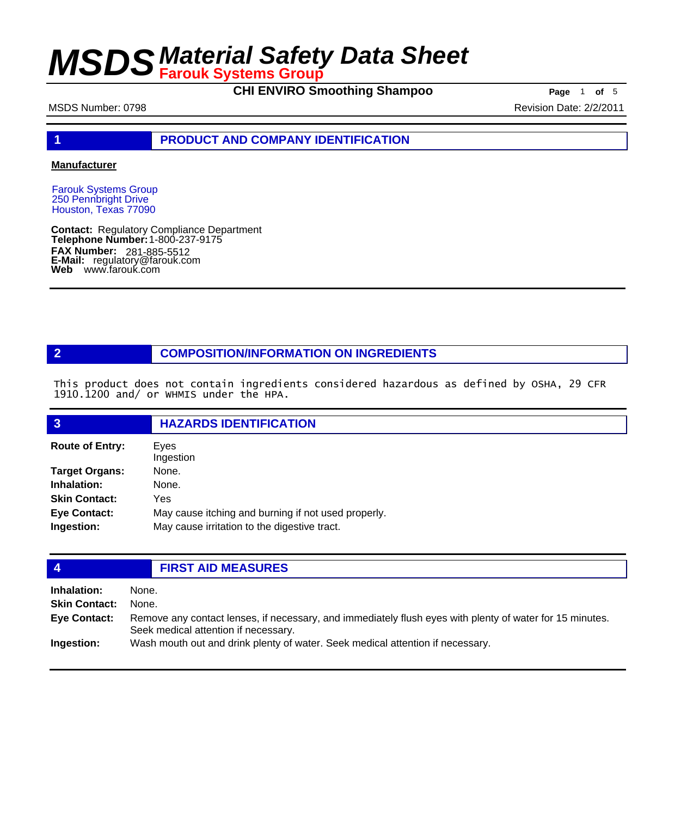**CHI ENVIRO Smoothing Shampoo Page** 1 of 5

#### MSDS Number: 0798 **Revision Date: 2/2/2011**

**1 PRODUCT AND COMPANY IDENTIFICATION**

#### **Manufacturer**

Farouk Systems Group 250 Pennbright Drive Houston, Texas 77090

**Contact: Telephone Number: FAX Number: FAX Number:** 281-885-5512<br>**E-Mail:** regulatory@farouk.com **Web** www.farouk.com Regulatory Compliance Department 1-800-237-9175

#### **2 COMPOSITION/INFORMATION ON INGREDIENTS**

This product does not contain ingredients considered hazardous as defined by OSHA, 29 CFR 1910.1200 and/ or WHMIS under the HPA.

| $\overline{3}$                    | <b>HAZARDS IDENTIFICATION</b>                                                                       |
|-----------------------------------|-----------------------------------------------------------------------------------------------------|
| <b>Route of Entry:</b>            | Eves<br>Ingestion                                                                                   |
| <b>Target Organs:</b>             | None.                                                                                               |
| Inhalation:                       | None.                                                                                               |
| <b>Skin Contact:</b>              | Yes                                                                                                 |
| <b>Eye Contact:</b><br>Ingestion: | May cause itching and burning if not used properly.<br>May cause irritation to the digestive tract. |

#### **4 FIRST AID MEASURES Inhalation:** None. **Skin Contact:** None. Remove any contact lenses, if necessary, and immediately flush eyes with plenty of water for 15 minutes. Seek medical attention if necessary. **Eye Contact: Ingestion:** Wash mouth out and drink plenty of water. Seek medical attention if necessary.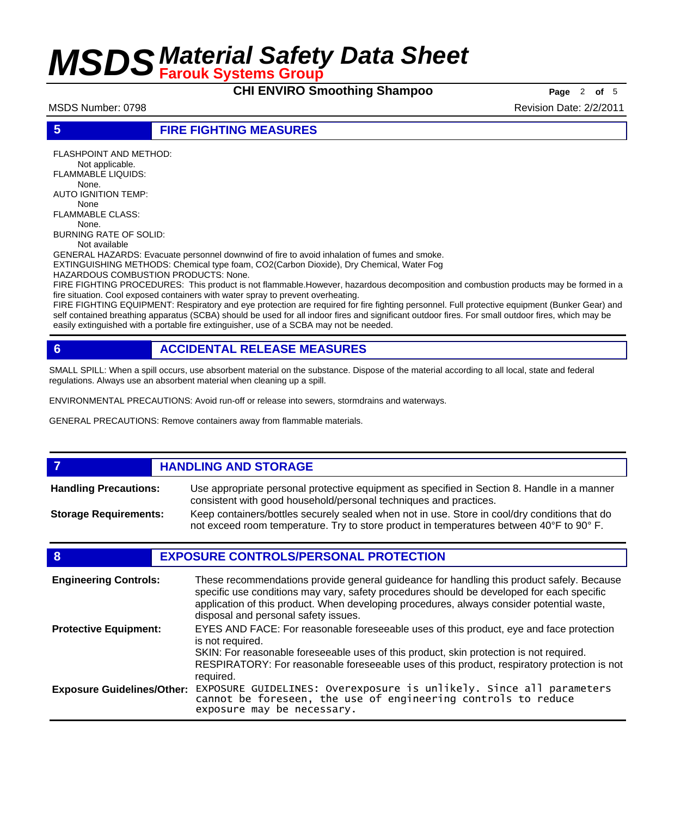**CHI ENVIRO Smoothing Shampoo** Page 2 of 5

MSDS Number: 0798 **Revision Date: 2/2/2011** 

#### **5 FIRE FIGHTING MEASURES**

FLASHPOINT AND METHOD: Not applicable. FLAMMABLE LIQUIDS: None. AUTO IGNITION TEMP: None FLAMMABLE CLASS: None. BURNING RATE OF SOLID:

Not available

GENERAL HAZARDS: Evacuate personnel downwind of fire to avoid inhalation of fumes and smoke. EXTINGUISHING METHODS: Chemical type foam, CO2(Carbon Dioxide), Dry Chemical, Water Fog

HAZARDOUS COMBUSTION PRODUCTS: None.

FIRE FIGHTING PROCEDURES: This product is not flammable.However, hazardous decomposition and combustion products may be formed in a fire situation. Cool exposed containers with water spray to prevent overheating.

FIRE FIGHTING EQUIPMENT: Respiratory and eye protection are required for fire fighting personnel. Full protective equipment (Bunker Gear) and self contained breathing apparatus (SCBA) should be used for all indoor fires and significant outdoor fires. For small outdoor fires, which may be easily extinguished with a portable fire extinguisher, use of a SCBA may not be needed.

### **6 ACCIDENTAL RELEASE MEASURES**

SMALL SPILL: When a spill occurs, use absorbent material on the substance. Dispose of the material according to all local, state and federal regulations. Always use an absorbent material when cleaning up a spill.

ENVIRONMENTAL PRECAUTIONS: Avoid run-off or release into sewers, stormdrains and waterways.

GENERAL PRECAUTIONS: Remove containers away from flammable materials.

#### *HANDLING AND STORAGE* Use appropriate personal protective equipment as specified in Section 8. Handle in a manner consistent with good household/personal techniques and practices. **Handling Precautions:** Keep containers/bottles securely sealed when not in use. Store in cool/dry conditions that do not exceed room temperature. Try to store product in temperatures between 40°F to 90° F. **Storage Requirements:**

### **8 EXPOSURE CONTROLS/PERSONAL PROTECTION**

| <b>Engineering Controls:</b>      | These recommendations provide general guideance for handling this product safely. Because<br>specific use conditions may vary, safety procedures should be developed for each specific<br>application of this product. When developing procedures, always consider potential waste,<br>disposal and personal safety issues. |
|-----------------------------------|-----------------------------------------------------------------------------------------------------------------------------------------------------------------------------------------------------------------------------------------------------------------------------------------------------------------------------|
| <b>Protective Equipment:</b>      | EYES AND FACE: For reasonable foreseeable uses of this product, eye and face protection<br>is not required.<br>SKIN: For reasonable foreseeable uses of this product, skin protection is not required.<br>RESPIRATORY: For reasonable foreseeable uses of this product, respiratory protection is not<br>required.          |
| <b>Exposure Guidelines/Other:</b> | EXPOSURE GUIDELINES: Overexposure is unlikely. Since all parameters cannot be foreseen, the use of engineering controls to reduce<br>exposure may be necessary.                                                                                                                                                             |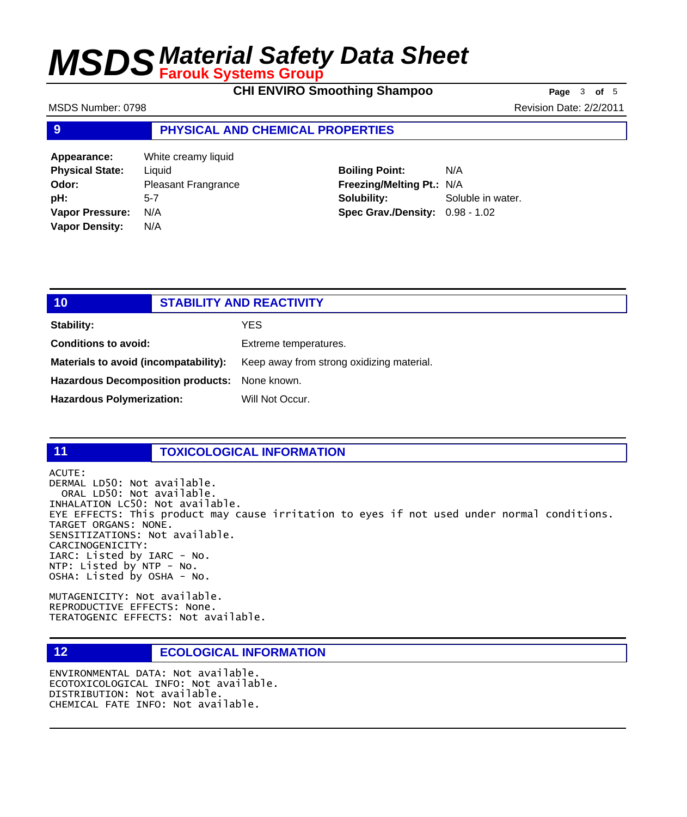**CHI ENVIRO Smoothing Shampoo Page** 3 of 5

MSDS Number: 0798 **Revision Date: 2/2/2011** 

#### **9 PHYSICAL AND CHEMICAL PROPERTIES**

**Appearance:** White creamy liquid **Physical State:** Liquid **Odor:** Pleasant Frangrance **pH:** 5-7 **Vapor Pressure:** N/A **Vapor Density:** N/A

### **Boiling Point:** N/A **Freezing/Melting Pt.:** N/A **Solubility:** Soluble in water. **Spec Grav./Density:** 0.98 - 1.02

### **10 STABILITY AND REACTIVITY Stability:** YES **Conditions to avoid:** Extreme temperatures. Materials to avoid (incompatability): Keep away from strong oxidizing material. **Hazardous Decomposition products:** None known. Hazardous Polymerization: Will Not Occur.

#### **11 TOXICOLOGICAL INFORMATION**

ACUTE:

DERMAL LD50: Not available. ORAL LD50: Not available. INHALATION LC50: Not available. EYE EFFECTS: This product may cause irritation to eyes if not used under normal conditions. TARGET ORGANS: NONE. SENSITIZATIONS: Not available. CARCINOGENICITY: IARC: Listed by IARC - No. NTP: Listed by NTP - No. OSHA: Listed by OSHA - No.

MUTAGENICITY: Not available. REPRODUCTIVE EFFECTS: None. TERATOGENIC EFFECTS: Not available.

### **12 ECOLOGICAL INFORMATION**

ENVIRONMENTAL DATA: Not available. ECOTOXICOLOGICAL INFO: Not available. DISTRIBUTION: Not available. CHEMICAL FATE INFO: Not available.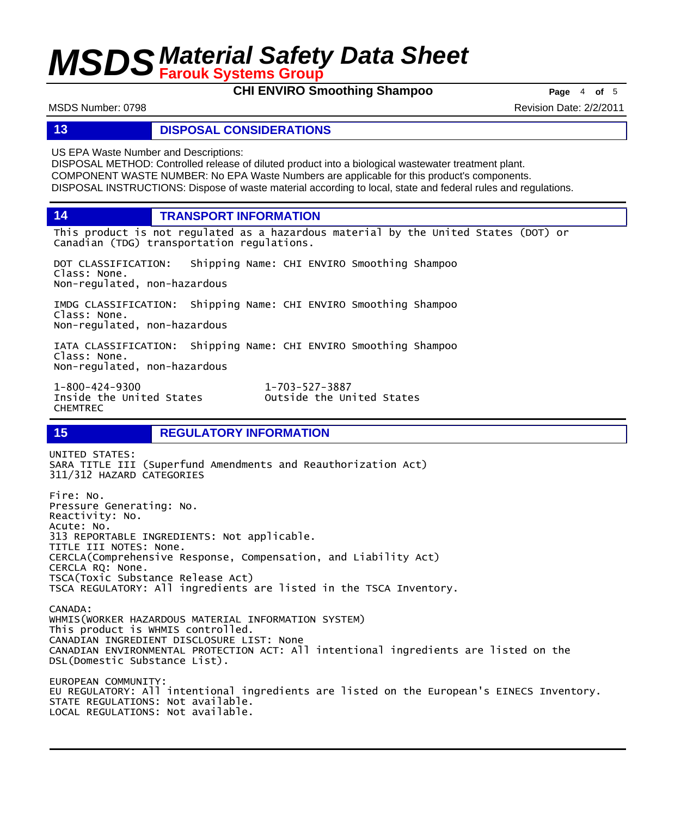**CHI ENVIRO Smoothing Shampoo Page** <sup>4</sup> **of** <sup>5</sup>

MSDS Number: 0798 **Revision Date: 2/2/2011** 

#### **13 DISPOSAL CONSIDERATIONS**

US EPA Waste Number and Descriptions:

DISPOSAL METHOD: Controlled release of diluted product into a biological wastewater treatment plant. COMPONENT WASTE NUMBER: No EPA Waste Numbers are applicable for this product's components. DISPOSAL INSTRUCTIONS: Dispose of waste material according to local, state and federal rules and regulations.

**14 TRANSPORT INFORMATION**

This product is not regulated as a hazardous material by the United States (DOT) or Canadian (TDG) transportation regulations.

DOT CLASSIFICATION: Shipping Name: CHI ENVIRO Smoothing Shampoo Class: None. Non-regulated, non-hazardous

IMDG CLASSIFICATION: Shipping Name: CHI ENVIRO Smoothing Shampoo Class: None. Non-regulated, non-hazardous

IATA CLASSIFICATION: Shipping Name: CHI ENVIRO Smoothing Shampoo Class: None. Non-regulated, non-hazardous

1-800-424-9300 1-703-527-3887 CHEMTREC

Outside the United States

### **15 REGULATORY INFORMATION**

UNITED STATES: SARA TITLE III (Superfund Amendments and Reauthorization Act) 311/312 HAZARD CATEGORIES Fire: No. Pressure Generating: No. Reactivity: No. Acute: No. 313 REPORTABLE INGREDIENTS: Not applicable. TITLE III NOTES: None. CERCLA(Comprehensive Response, Compensation, and Liability Act) CERCLA RQ: None. TSCA(Toxic Substance Release Act) TSCA REGULATORY: All ingredients are listed in the TSCA Inventory. CANADA: WHMIS(WORKER HAZARDOUS MATERIAL INFORMATION SYSTEM) This product is WHMIS controlled. CANADIAN INGREDIENT DISCLOSURE LIST: None CANADIAN ENVIRONMENTAL PROTECTION ACT: All intentional ingredients are listed on the DSL(Domestic Substance List). EUROPEAN COMMUNITY: EU REGULATORY: All intentional ingredients are listed on the European's EINECS Inventory. STATE REGULATIONS: Not available. LOCAL REGULATIONS: Not available.